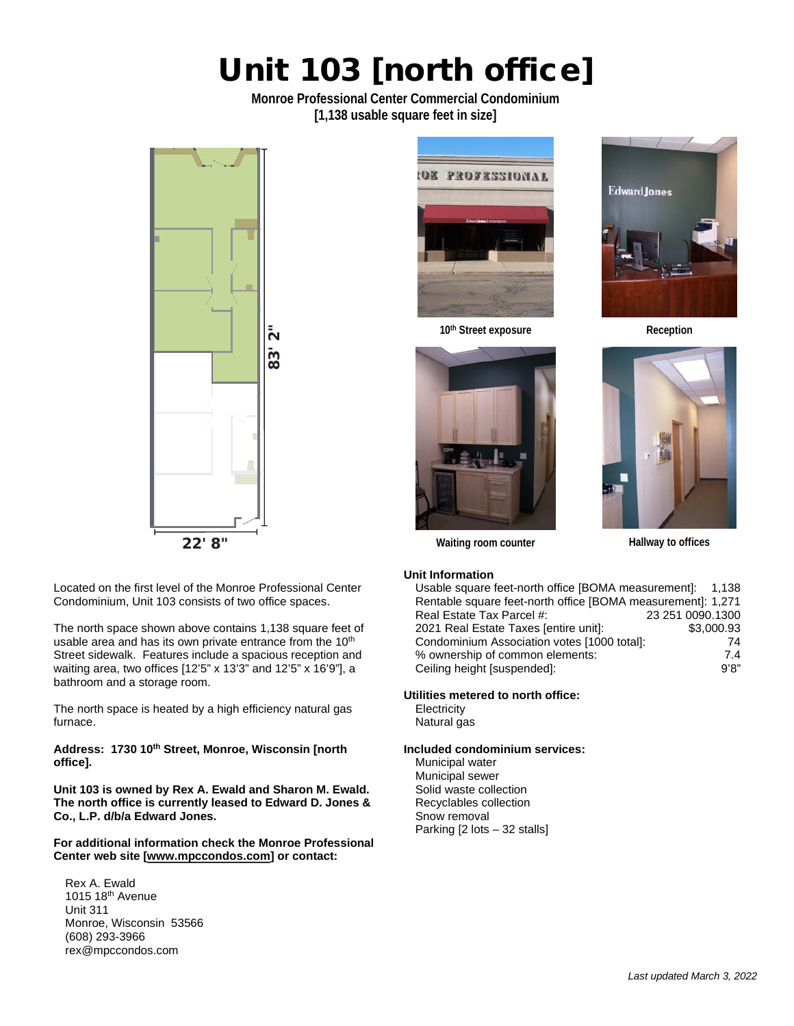## Unit 103 [north office]

**Monroe Professional Center Commercial Condominium [1,138 usable square feet in size]** 



Located on the first level of the Monroe Professional Center Condominium, Unit 103 consists of two office spaces.

The north space shown above contains 1,138 square feet of usable area and has its own private entrance from the 10<sup>th</sup> Street sidewalk. Features include a spacious reception and waiting area, two offices [12'5" x 13'3" and 12'5" x 16'9"], a bathroom and a storage room.

The north space is heated by a high efficiency natural gas furnace.

**Address: 1730 10th Street, Monroe, Wisconsin [north office].**

**Unit 103 is owned by Rex A. Ewald and Sharon M. Ewald. The north office is currently leased to Edward D. Jones & Co., L.P. d/b/a Edward Jones.** 

**For additional information check the Monroe Professional Center web site [www.mpccondos.com] or contact:** 

Rex A. Ewald 1015 18th Avenue Unit 311 Monroe, Wisconsin 53566 (608) 293-3966 rex@mpccondos.com



10<sup>th</sup> Street exposure **Reception** 







**Waiting room counter Hallway to offices**

## **Unit Information**

| Usable square feet-north office [BOMA measurement]: 1,138   |                  |
|-------------------------------------------------------------|------------------|
| Rentable square feet-north office [BOMA measurement]: 1,271 |                  |
| Real Estate Tax Parcel #:                                   | 23 251 0090.1300 |
| 2021 Real Estate Taxes [entire unit]:                       | \$3,000.93       |
| Condominium Association votes [1000 total]:                 | 74               |
| % ownership of common elements:                             | 7.4              |
| Ceiling height [suspended]:                                 | 9'8"             |

## **Utilities metered to north office:**

**Electricity** Natural gas

#### **Included condominium services:**

Municipal water Municipal sewer Solid waste collection Recyclables collection Snow removal Parking [2 lots – 32 stalls]